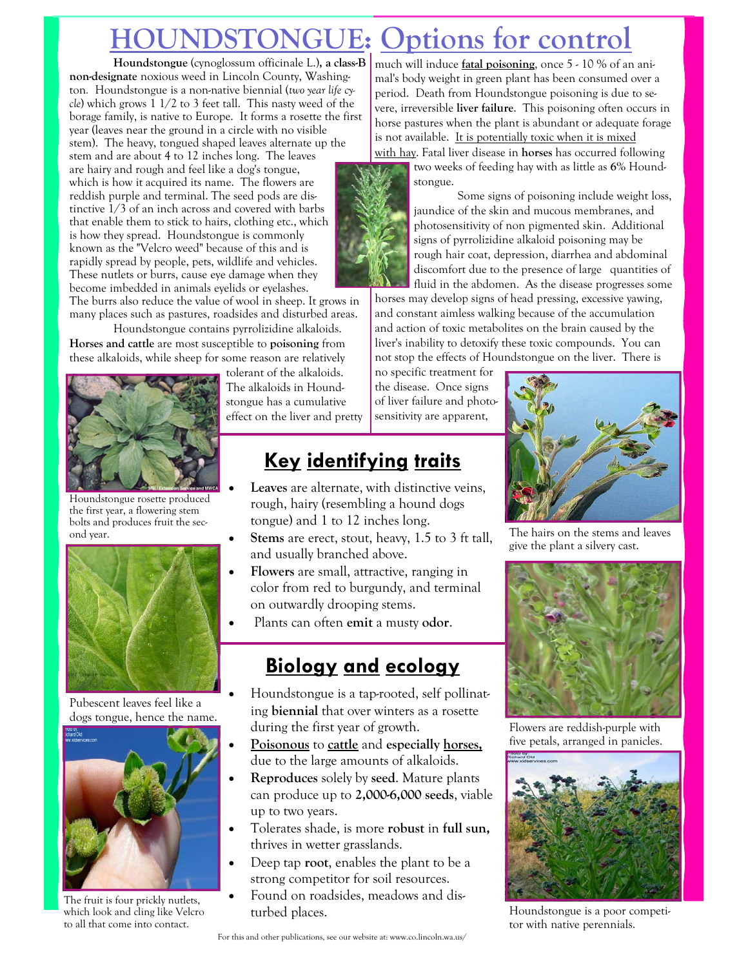# **HOUNGUE:** Options for control

**Houndstongue** (cynoglossum officinale L.)**, a class-B non-designate** noxious weed in Lincoln County, Washington*.* Houndstongue is a non-native biennial (*two year life cycle*) which grows 1 1/2 to 3 feet tall. This nasty weed of the borage family, is native to Europe. It forms a rosette the first year (leaves near the ground in a circle with no visible stem). The heavy, tongued shaped leaves alternate up the stem and are about 4 to 12 inches long. The leaves are hairy and rough and feel like a dog's tongue, which is how it acquired its name. The flowers are reddish purple and terminal. The seed pods are distinctive 1/3 of an inch across and covered with barbs that enable them to stick to hairs, clothing etc., which is how they spread. Houndstongue is commonly known as the "Velcro weed" because of this and is rapidly spread by people, pets, wildlife and vehicles. These nutlets or burrs, cause eye damage when they become imbedded in animals eyelids or eyelashes.

The burrs also reduce the value of wool in sheep. It grows in many places such as pastures, roadsides and disturbed areas.

Houndstongue contains pyrrolizidine alkaloids. **Horses and cattle** are most susceptible to **poisoning** from these alkaloids, while sheep for some reason are relatively



Houndstongue rosette produced the first year, a flowering stem bolts and produces fruit the sec-



Pubescent leaves feel like a dogs tongue, hence the name.



The fruit is four prickly nutlets, which look and cling like Velcro to all that come into contact.

tolerant of the alkaloids. The alkaloids in Houndstongue has a cumulative effect on the liver and pretty

### **Key identifying traits**

- Leaves are alternate, with distinctive veins, rough, hairy (resembling a hound dogs tongue) and 1 to 12 inches long.
- ond year.<br>
**Stems** are erect, stout, heavy, 1.5 to 3 ft tall, The hairs on the stems and leaves and usually branched above.
	- **Flowers** are small, attractive, ranging in color from red to burgundy, and terminal on outwardly drooping stems.
	- Plants can often **emit** a musty **odor**.

### **Biology and ecology**

- Houndstongue is a tap-rooted, self pollinating **biennial** that over winters as a rosette during the first year of growth.
- **Poisonous** to **cattle** and **especially horses,** due to the large amounts of alkaloids.
- **Reproduces** solely by **seed**. Mature plants can produce up to **2,000-6,000 seeds**, viable up to two years.
- Tolerates shade, is more **robust** in **full sun,**  thrives in wetter grasslands.
- Deep tap **root**, enables the plant to be a strong competitor for soil resources.
- Found on roadsides, meadows and disturbed places. Houndstongue is a poor competi-

much will induce **fatal poisoning**, once 5 - 10 % of an animal's body weight in green plant has been consumed over a period. Death from Houndstongue poisoning is due to severe, irreversible **liver failure**. This poisoning often occurs in horse pastures when the plant is abundant or adequate forage is not available. It is potentially toxic when it is mixed with hay. Fatal liver disease in **horses** has occurred following



 Some signs of poisoning include weight loss, jaundice of the skin and mucous membranes, and photosensitivity of non pigmented skin. Additional signs of pyrrolizidine alkaloid poisoning may be rough hair coat, depression, diarrhea and abdominal discomfort due to the presence of large quantities of fluid in the abdomen. As the disease progresses some

horses may develop signs of head pressing, excessive yawing, and constant aimless walking because of the accumulation and action of toxic metabolites on the brain caused by the liver's inability to detoxify these toxic compounds. You can not stop the effects of Houndstongue on the liver. There is

no specific treatment for the disease. Once signs of liver failure and photosensitivity are apparent,



give the plant a silvery cast.



Flowers are reddish-purple with five petals, arranged in panicles.



tor with native perennials.